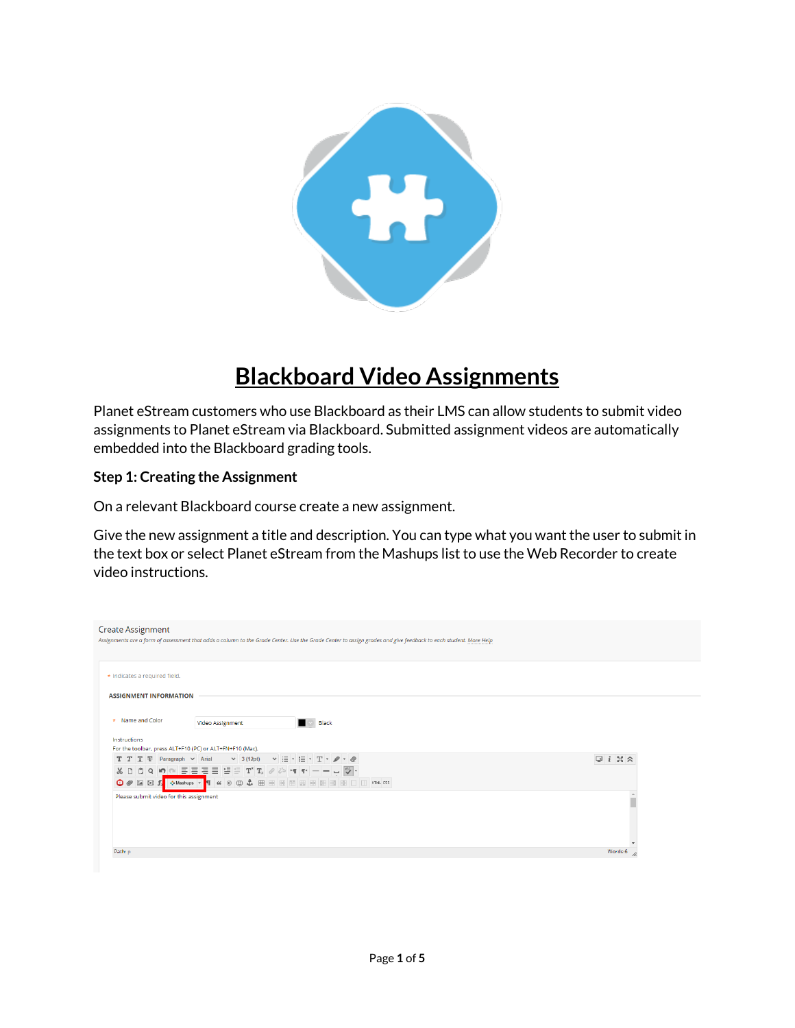

## **Blackboard Video Assignments**

Planet eStream customers who use Blackboard as their LMS can allow students to submit video assignments to Planet eStream via Blackboard. Submitted assignment videos are automatically embedded into the Blackboard grading tools.

## **Step 1: Creating the Assignment**

On a relevant Blackboard course create a new assignment.

Give the new assignment a title and description. You can type what you want the user to submit in the text box or select Planet eStream from the Mashups list to use the Web Recorder to create video instructions.

| <b>Create Assignment</b>                                 |                                                                                                       | Assignments are a form of assessment that adds a column to the Grade Center. Use the Grade Center to assign grades and give feedback to each student. More Help |                  |
|----------------------------------------------------------|-------------------------------------------------------------------------------------------------------|-----------------------------------------------------------------------------------------------------------------------------------------------------------------|------------------|
| * Indicates a required field.                            |                                                                                                       |                                                                                                                                                                 |                  |
| <b>ASSIGNMENT INFORMATION</b>                            |                                                                                                       |                                                                                                                                                                 |                  |
| * Name and Color                                         | Video Assignment                                                                                      | $\blacksquare$ $\triangleright$ Black                                                                                                                           |                  |
| Instructions                                             |                                                                                                       |                                                                                                                                                                 |                  |
| For the toolbar, press ALT+F10 (PC) or ALT+FN+F10 (Mac). |                                                                                                       |                                                                                                                                                                 |                  |
| $T$ $T$ $T$ $F$ Paragraph $\sim$ Arial                   | $\vee$ 3 (12pt) $\vee$ $\Xi$ $\cdot$ $\Xi$ $\cdot$ $\top$ $\cdot$ $\mathscr{D}$ $\cdot$ $\mathscr{Q}$ |                                                                                                                                                                 | $Q_i$ $X \times$ |
| X D                                                      |                                                                                                       |                                                                                                                                                                 |                  |
| $\bigcirc$ $\emptyset$ $\Box$ $\Box$ $f$                 |                                                                                                       | O Mashups → T 66 © C C C E E E E E E E E E E E C O FTM. CSS                                                                                                     |                  |
| Please submit video for this assignment                  |                                                                                                       |                                                                                                                                                                 |                  |
| Path: p                                                  |                                                                                                       |                                                                                                                                                                 | Words:6          |
|                                                          |                                                                                                       |                                                                                                                                                                 |                  |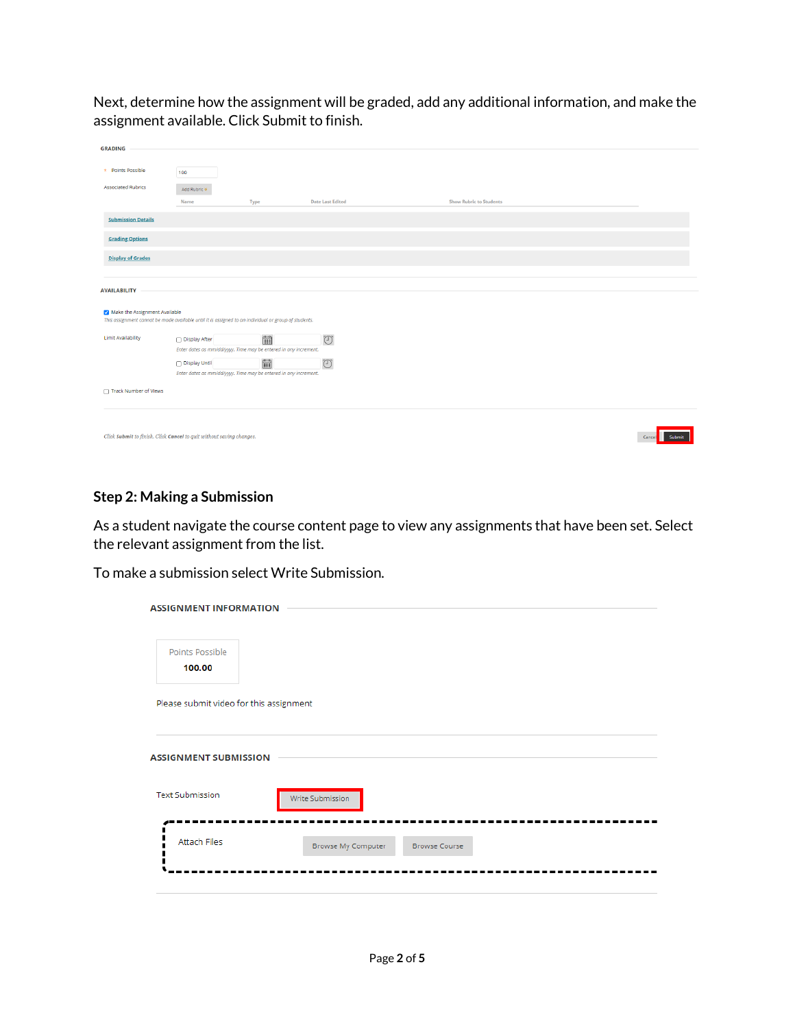Next, determine how the assignment will be graded, add any additional information, and make the assignment available. Click Submit to finish.

| <b>GRADING</b>                                                                                                                        |                                                                  |                                                                |                                |                                |  |
|---------------------------------------------------------------------------------------------------------------------------------------|------------------------------------------------------------------|----------------------------------------------------------------|--------------------------------|--------------------------------|--|
|                                                                                                                                       |                                                                  |                                                                |                                |                                |  |
|                                                                                                                                       |                                                                  |                                                                |                                |                                |  |
| * Points Possible                                                                                                                     | 100                                                              |                                                                |                                |                                |  |
|                                                                                                                                       |                                                                  |                                                                |                                |                                |  |
| <b>Associated Rubrics</b>                                                                                                             | Add Rubric ¥                                                     |                                                                |                                |                                |  |
|                                                                                                                                       | Name                                                             | Type                                                           | <b>Date Last Edited</b>        | <b>Show Rubric to Students</b> |  |
|                                                                                                                                       |                                                                  |                                                                |                                |                                |  |
| <b>Submission Details</b>                                                                                                             |                                                                  |                                                                |                                |                                |  |
|                                                                                                                                       |                                                                  |                                                                |                                |                                |  |
| <b>Grading Options</b>                                                                                                                |                                                                  |                                                                |                                |                                |  |
|                                                                                                                                       |                                                                  |                                                                |                                |                                |  |
|                                                                                                                                       |                                                                  |                                                                |                                |                                |  |
| <b>Display of Grades</b>                                                                                                              |                                                                  |                                                                |                                |                                |  |
|                                                                                                                                       |                                                                  |                                                                |                                |                                |  |
|                                                                                                                                       |                                                                  |                                                                |                                |                                |  |
| <b>AVAILABILITY</b>                                                                                                                   |                                                                  |                                                                |                                |                                |  |
|                                                                                                                                       |                                                                  |                                                                |                                |                                |  |
|                                                                                                                                       |                                                                  |                                                                |                                |                                |  |
| Make the Assignment Available<br>This assignment cannot be made available until it is assigned to an individual or group of students. |                                                                  |                                                                |                                |                                |  |
|                                                                                                                                       |                                                                  |                                                                |                                |                                |  |
| Limit Availability                                                                                                                    |                                                                  |                                                                |                                |                                |  |
|                                                                                                                                       | □ Display After                                                  | $\begin{array}{ c } \hline 0 & 0 \\ \hline \hline \end{array}$ | $\textcircled{\small{2}}$      |                                |  |
|                                                                                                                                       | Enter dates as mm/dd/yyyy. Time may be entered in any increment. |                                                                |                                |                                |  |
|                                                                                                                                       | Display Until                                                    | $\frac{60}{222}$                                               | $\textcircled{\scriptsize{1}}$ |                                |  |
|                                                                                                                                       | Enter dates as mm/dd/yyyy. Time may be entered in any increment. |                                                                |                                |                                |  |
|                                                                                                                                       |                                                                  |                                                                |                                |                                |  |
| Track Number of Views                                                                                                                 |                                                                  |                                                                |                                |                                |  |
|                                                                                                                                       |                                                                  |                                                                |                                |                                |  |
|                                                                                                                                       |                                                                  |                                                                |                                |                                |  |
|                                                                                                                                       |                                                                  |                                                                |                                |                                |  |
|                                                                                                                                       |                                                                  |                                                                |                                |                                |  |
|                                                                                                                                       |                                                                  |                                                                |                                |                                |  |
| Click Submit to finish. Click Cancel to quit without saving changes.<br>Cancel<br><b>Submit</b>                                       |                                                                  |                                                                |                                |                                |  |
|                                                                                                                                       |                                                                  |                                                                |                                |                                |  |

## **Step 2: Making a Submission**

As a student navigate the course content page to view any assignments that have been set. Select the relevant assignment from the list.

To make a submission select Write Submission.

| <b>ASSIGNMENT INFORMATION</b>           |                    |                      |  |
|-----------------------------------------|--------------------|----------------------|--|
| Points Possible<br>100.00               |                    |                      |  |
| Please submit video for this assignment |                    |                      |  |
| <b>ASSIGNMENT SUBMISSION</b>            |                    |                      |  |
| <b>Text Submission</b>                  | Write Submission   |                      |  |
| <b>Attach Files</b>                     | Browse My Computer | <b>Browse Course</b> |  |
|                                         |                    |                      |  |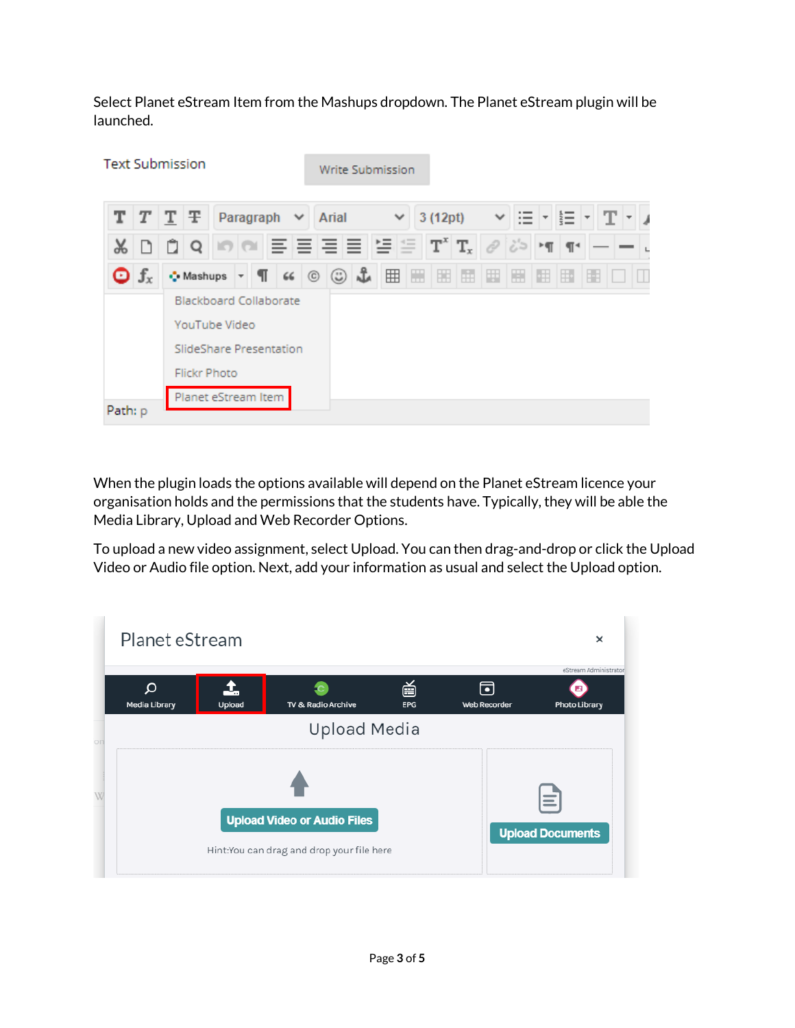Select Planet eStream Item from the Mashups dropdown. The Planet eStream plugin will be launched.

| <b>Text Submission</b> | Write Submission                                                                                                                                    |   |
|------------------------|-----------------------------------------------------------------------------------------------------------------------------------------------------|---|
|                        | $T$ $T$ $T$ $F$<br>Paragraph<br>Arial<br>3 (12pt)<br>v<br>$\checkmark$<br>這<br>$\checkmark$<br>$\overline{\phantom{0}}$<br>$\overline{\phantom{0}}$ |   |
|                        | $T^x$ $T_x$<br>≝<br>뜰<br>NENENEN<br>دان<br>100<br>$\P4$<br>Q<br>$\rightarrow$                                                                       |   |
| $\int_{x}$             | 囲<br>$\frac{a}{b}$<br>H<br>H<br>▦<br>÷<br>$\mathbb{H}^*$<br>∙ Mashups<br>関<br>$66$ ©<br>☺<br>围<br>E<br>$\overline{\phantom{a}}$                     | H |
|                        | <b>Blackboard Collaborate</b><br>YouTube Video<br>SlideShare Presentation<br><b>Flickr Photo</b>                                                    |   |
| Path: p                | Planet eStream Item                                                                                                                                 |   |

When the plugin loads the options available will depend on the Planet eStream licence your organisation holds and the permissions that the students have. Typically, they will be able the Media Library, Upload and Web Recorder Options.

To upload a new video assignment, select Upload. You can then drag-and-drop or click the Upload Video or Audio file option. Next, add your information as usual and select the Upload option.

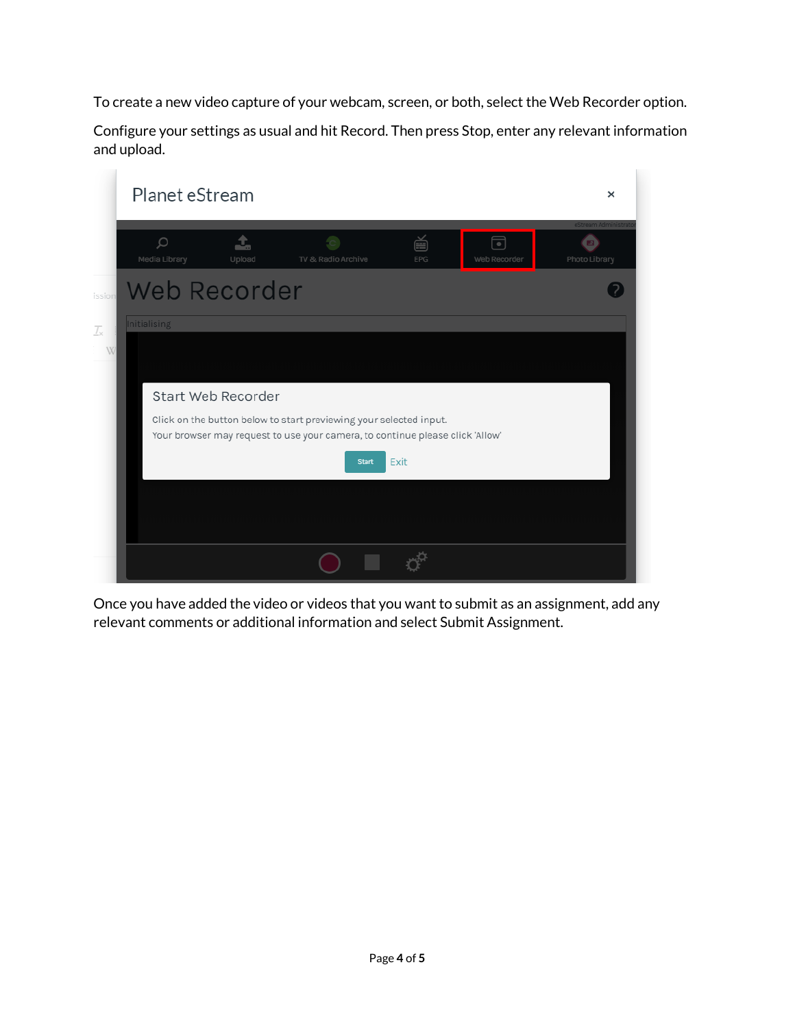To create a new video capture of your webcam, screen, or both, select the Web Recorder option.

Configure your settings as usual and hit Record. Then press Stop, enter any relevant information and upload.



Once you have added the video or videos that you want to submit as an assignment, add any relevant comments or additional information and select Submit Assignment.